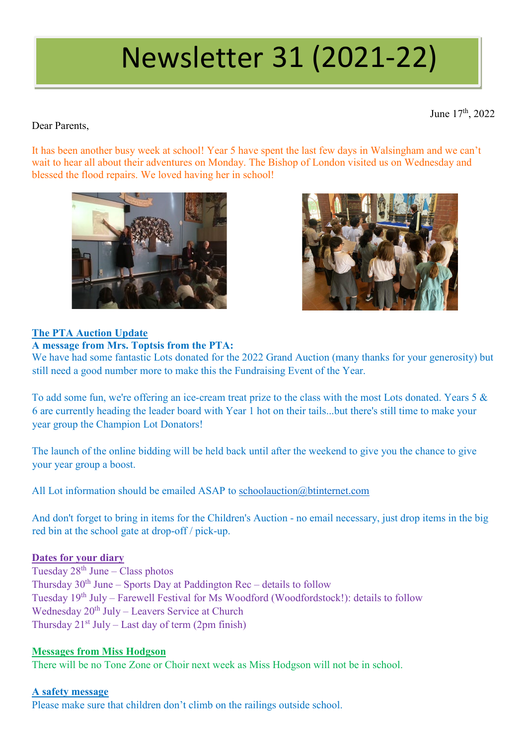# Newsletter 31 (2021-22)

June 17<sup>th</sup>, 2022

### Dear Parents,

It has been another busy week at school! Year 5 have spent the last few days in Walsingham and we can't wait to hear all about their adventures on Monday. The Bishop of London visited us on Wednesday and blessed the flood repairs. We loved having her in school!





# **The PTA Auction Update**

#### **A message from Mrs. Toptsis from the PTA:**

We have had some fantastic Lots donated for the 2022 Grand Auction (many thanks for your generosity) but still need a good number more to make this the Fundraising Event of the Year.

To add some fun, we're offering an ice-cream treat prize to the class with the most Lots donated. Years 5 & 6 are currently heading the leader board with Year 1 hot on their tails...but there's still time to make your year group the Champion Lot Donators!

The launch of the online bidding will be held back until after the weekend to give you the chance to give your year group a boost.

All Lot information should be emailed ASAP to [schoolauction@btinternet.com](mailto:schoolauction@btinternet.com)

And don't forget to bring in items for the Children's Auction - no email necessary, just drop items in the big red bin at the school gate at drop-off / pick-up.

#### **Dates for your diary**

Tuesday 28th June – Class photos Thursday  $30<sup>th</sup>$  June – Sports Day at Paddington Rec – details to follow Tuesday 19th July – Farewell Festival for Ms Woodford (Woodfordstock!): details to follow Wednesday  $20^{th}$  July – Leavers Service at Church Thursday  $21^{st}$  July – Last day of term (2pm finish)

# **Messages from Miss Hodgson**

There will be no Tone Zone or Choir next week as Miss Hodgson will not be in school.

#### **A safety message**

Please make sure that children don't climb on the railings outside school.